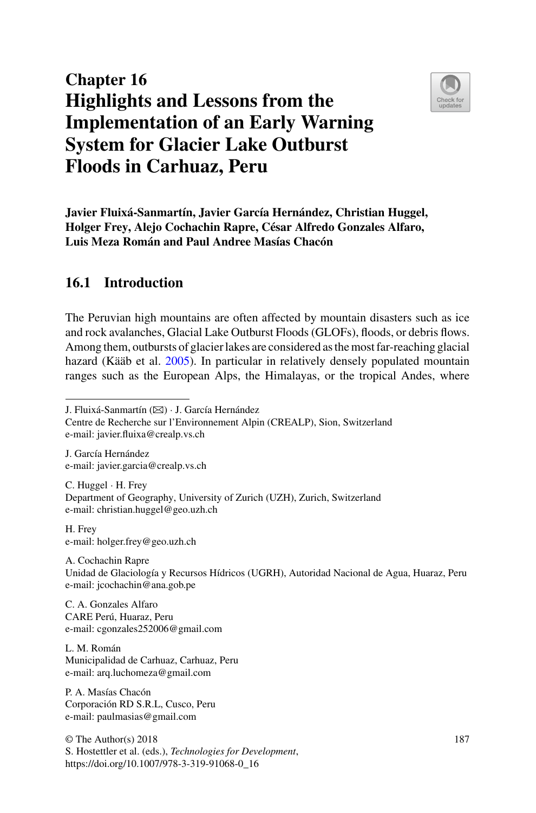# **Chapter 16 Highlights and Lessons from the Implementation of an Early Warning System for Glacier Lake Outburst Floods in Carhuaz, Peru**



**Javier Fluixá-Sanmartín, Javier García Hernández, Christian Huggel, Holger Frey, Alejo Cochachin Rapre, César Alfredo Gonzales Alfaro, Luis Meza Román and Paul Andree Masías Chacón**

## **16.1 Introduction**

The Peruvian high mountains are often affected by mountain disasters such as ice and rock avalanches, Glacial Lake Outburst Floods (GLOFs), floods, or debris flows. Among them, outbursts of glacier lakes are considered as the most far-reaching glacial hazard (Kääb et al. [2005\)](#page-12-0). In particular in relatively densely populated mountain ranges such as the European Alps, the Himalayas, or the tropical Andes, where

J. Fluixá-Sanmartín (B) · J. García Hernández

Centre de Recherche sur l'Environnement Alpin (CREALP), Sion, Switzerland e-mail: javier.fluixa@crealp.vs.ch

J. García Hernández e-mail: javier.garcia@crealp.vs.ch

C. Huggel · H. Frey Department of Geography, University of Zurich (UZH), Zurich, Switzerland e-mail: christian.huggel@geo.uzh.ch

H. Frey e-mail: holger.frey@geo.uzh.ch

A. Cochachin Rapre Unidad de Glaciología y Recursos Hídricos (UGRH), Autoridad Nacional de Agua, Huaraz, Peru e-mail: jcochachin@ana.gob.pe

C. A. Gonzales Alfaro CARE Perú, Huaraz, Peru e-mail: cgonzales252006@gmail.com

L. M. Román Municipalidad de Carhuaz, Carhuaz, Peru e-mail: arq.luchomeza@gmail.com

P. A. Masías Chacón Corporación RD S.R.L, Cusco, Peru e-mail: paulmasias@gmail.com

© The Author(s) 2018 S. Hostettler et al. (eds.), *Technologies for Development*, https://doi.org/10.1007/978-3-319-91068-0\_16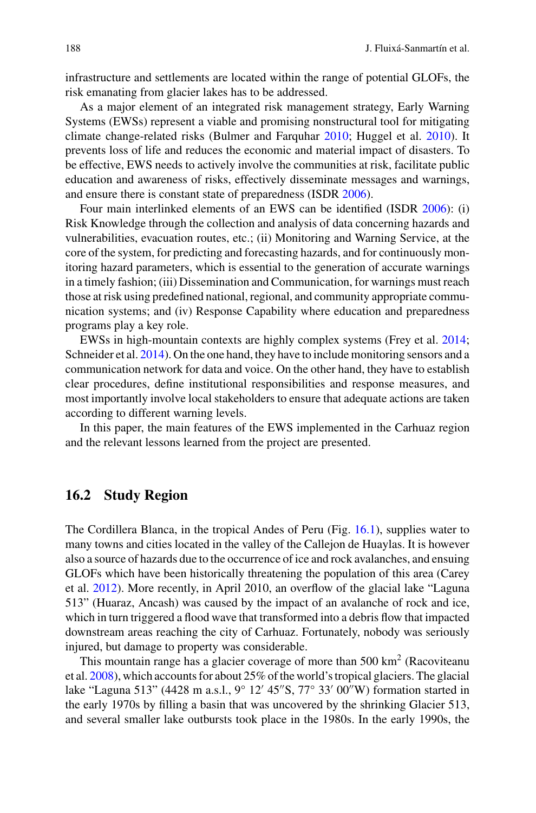infrastructure and settlements are located within the range of potential GLOFs, the risk emanating from glacier lakes has to be addressed.

As a major element of an integrated risk management strategy, Early Warning Systems (EWSs) represent a viable and promising nonstructural tool for mitigating climate change-related risks (Bulmer and Farquhar [2010;](#page-11-0) Huggel et al. [2010\)](#page-12-1). It prevents loss of life and reduces the economic and material impact of disasters. To be effective, EWS needs to actively involve the communities at risk, facilitate public education and awareness of risks, effectively disseminate messages and warnings, and ensure there is constant state of preparedness (ISDR [2006\)](#page-12-2).

Four main interlinked elements of an EWS can be identified (ISDR [2006\)](#page-12-2): (i) Risk Knowledge through the collection and analysis of data concerning hazards and vulnerabilities, evacuation routes, etc.; (ii) Monitoring and Warning Service, at the core of the system, for predicting and forecasting hazards, and for continuously monitoring hazard parameters, which is essential to the generation of accurate warnings in a timely fashion; (iii) Dissemination and Communication, for warnings must reach those at risk using predefined national, regional, and community appropriate communication systems; and (iv) Response Capability where education and preparedness programs play a key role.

EWSs in high-mountain contexts are highly complex systems (Frey et al. [2014;](#page-12-3) Schneider et al. [2014\)](#page-12-4). On the one hand, they have to include monitoring sensors and a communication network for data and voice. On the other hand, they have to establish clear procedures, define institutional responsibilities and response measures, and most importantly involve local stakeholders to ensure that adequate actions are taken according to different warning levels.

In this paper, the main features of the EWS implemented in the Carhuaz region and the relevant lessons learned from the project are presented.

## **16.2 Study Region**

The Cordillera Blanca, in the tropical Andes of Peru (Fig. [16.1\)](#page-2-0), supplies water to many towns and cities located in the valley of the Callejon de Huaylas. It is however also a source of hazards due to the occurrence of ice and rock avalanches, and ensuing GLOFs which have been historically threatening the population of this area (Carey et al. [2012\)](#page-11-1). More recently, in April 2010, an overflow of the glacial lake "Laguna 513" (Huaraz, Ancash) was caused by the impact of an avalanche of rock and ice, which in turn triggered a flood wave that transformed into a debris flow that impacted downstream areas reaching the city of Carhuaz. Fortunately, nobody was seriously injured, but damage to property was considerable.

This mountain range has a glacier coverage of more than  $500 \text{ km}^2$  (Racoviteanu et al. [2008\)](#page-12-5), which accounts for about 25% of the world's tropical glaciers. The glacial lake "Laguna 513" (4428 m a.s.l., 9° 12′ 45″S, 77° 33′ 00″W) formation started in the early 1970s by filling a basin that was uncovered by the shrinking Glacier 513, and several smaller lake outbursts took place in the 1980s. In the early 1990s, the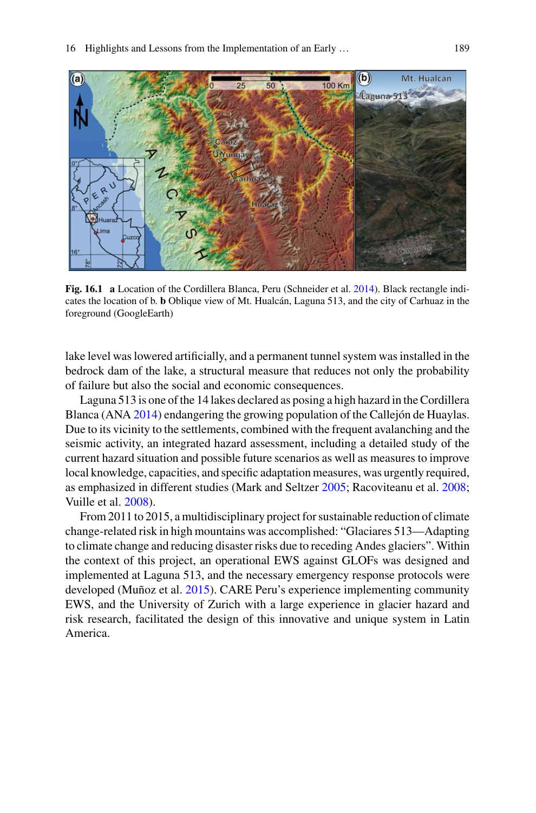

<span id="page-2-0"></span>**Fig. 16.1 a** Location of the Cordillera Blanca, Peru (Schneider et al. [2014\)](#page-12-4). Black rectangle indicates the location of b. **b** Oblique view of Mt. Hualcán, Laguna 513, and the city of Carhuaz in the foreground (GoogleEarth)

lake level was lowered artificially, and a permanent tunnel system was installed in the bedrock dam of the lake, a structural measure that reduces not only the probability of failure but also the social and economic consequences.

Laguna 513 is one of the 14 lakes declared as posing a high hazard in the Cordillera Blanca (ANA [2014\)](#page-11-2) endangering the growing population of the Callejón de Huaylas. Due to its vicinity to the settlements, combined with the frequent avalanching and the seismic activity, an integrated hazard assessment, including a detailed study of the current hazard situation and possible future scenarios as well as measures to improve local knowledge, capacities, and specific adaptation measures, was urgently required, as emphasized in different studies (Mark and Seltzer [2005;](#page-12-6) Racoviteanu et al. [2008;](#page-12-5) Vuille et al. [2008\)](#page-12-7).

From 2011 to 2015, a multidisciplinary project for sustainable reduction of climate change-related risk in high mountains was accomplished: "Glaciares 513—Adapting to climate change and reducing disaster risks due to receding Andes glaciers". Within the context of this project, an operational EWS against GLOFs was designed and implemented at Laguna 513, and the necessary emergency response protocols were developed (Muñoz et al. [2015\)](#page-12-8). CARE Peru's experience implementing community EWS, and the University of Zurich with a large experience in glacier hazard and risk research, facilitated the design of this innovative and unique system in Latin America.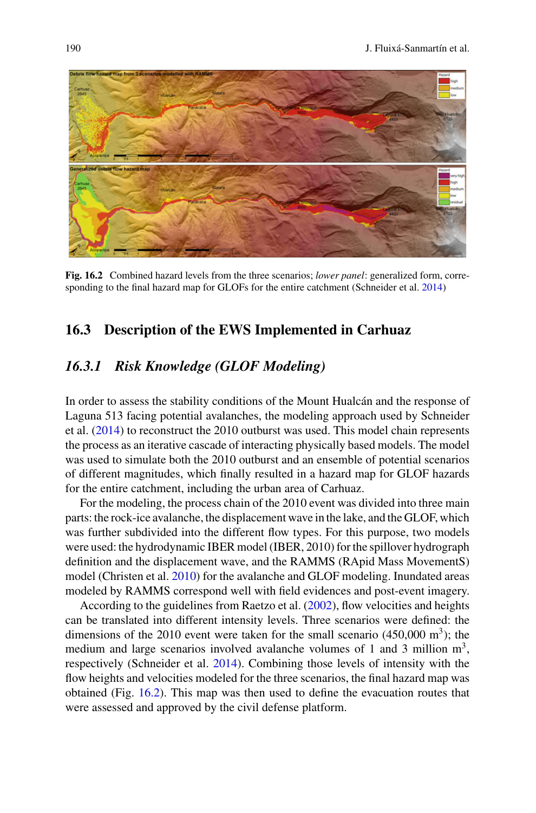

<span id="page-3-0"></span>**Fig. 16.2** Combined hazard levels from the three scenarios; *lower panel*: generalized form, corresponding to the final hazard map for GLOFs for the entire catchment (Schneider et al. [2014\)](#page-12-4)

## **16.3 Description of the EWS Implemented in Carhuaz**

## *16.3.1 Risk Knowledge (GLOF Modeling)*

In order to assess the stability conditions of the Mount Hualcán and the response of Laguna 513 facing potential avalanches, the modeling approach used by Schneider et al. [\(2014\)](#page-12-4) to reconstruct the 2010 outburst was used. This model chain represents the process as an iterative cascade of interacting physically based models. The model was used to simulate both the 2010 outburst and an ensemble of potential scenarios of different magnitudes, which finally resulted in a hazard map for GLOF hazards for the entire catchment, including the urban area of Carhuaz.

For the modeling, the process chain of the 2010 event was divided into three main parts: the rock-ice avalanche, the displacement wave in the lake, and the GLOF, which was further subdivided into the different flow types. For this purpose, two models were used: the hydrodynamic IBER model (IBER, 2010) for the spillover hydrograph definition and the displacement wave, and the RAMMS (RApid Mass MovementS) model (Christen et al. [2010\)](#page-12-9) for the avalanche and GLOF modeling. Inundated areas modeled by RAMMS correspond well with field evidences and post-event imagery.

According to the guidelines from Raetzo et al. [\(2002\)](#page-12-10), flow velocities and heights can be translated into different intensity levels. Three scenarios were defined: the dimensions of the 2010 event were taken for the small scenario  $(450,000 \text{ m}^3)$ ; the medium and large scenarios involved avalanche volumes of 1 and 3 million  $m<sup>3</sup>$ , respectively (Schneider et al. [2014\)](#page-12-4). Combining those levels of intensity with the flow heights and velocities modeled for the three scenarios, the final hazard map was obtained (Fig. [16.2\)](#page-3-0). This map was then used to define the evacuation routes that were assessed and approved by the civil defense platform.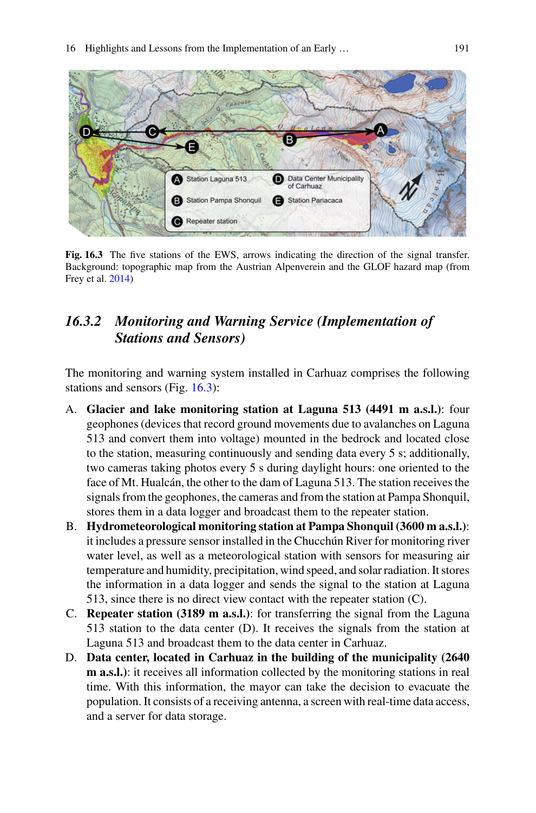

<span id="page-4-0"></span>**Fig. 16.3** The five stations of the EWS, arrows indicating the direction of the signal transfer. Background: topographic map from the Austrian Alpenverein and the GLOF hazard map (from Frey et al. [2014\)](#page-12-3)

# *16.3.2 Monitoring and Warning Service (Implementation of Stations and Sensors)*

The monitoring and warning system installed in Carhuaz comprises the following stations and sensors (Fig. [16.3\)](#page-4-0):

- A. **Glacier and lake monitoring station at Laguna 513 (4491 m a.s.l.)**: four geophones (devices that record ground movements due to avalanches on Laguna 513 and convert them into voltage) mounted in the bedrock and located close to the station, measuring continuously and sending data every 5 s; additionally, two cameras taking photos every 5 s during daylight hours: one oriented to the face of Mt. Hualcán, the other to the dam of Laguna 513. The station receives the signals from the geophones, the cameras and from the station at Pampa Shonquil, stores them in a data logger and broadcast them to the repeater station.
- B. **Hydrometeorological monitoring station at Pampa Shonquil (3600 m a.s.l.)**: it includes a pressure sensor installed in the Chucchún River for monitoring river water level, as well as a meteorological station with sensors for measuring air temperature and humidity, precipitation, wind speed, and solar radiation. It stores the information in a data logger and sends the signal to the station at Laguna 513, since there is no direct view contact with the repeater station (C).
- C. **Repeater station (3189 m a.s.l.)**: for transferring the signal from the Laguna 513 station to the data center (D). It receives the signals from the station at Laguna 513 and broadcast them to the data center in Carhuaz.
- D. **Data center, located in Carhuaz in the building of the municipality (2640 m a.s.l.)**: it receives all information collected by the monitoring stations in real time. With this information, the mayor can take the decision to evacuate the population. It consists of a receiving antenna, a screen with real-time data access, and a server for data storage.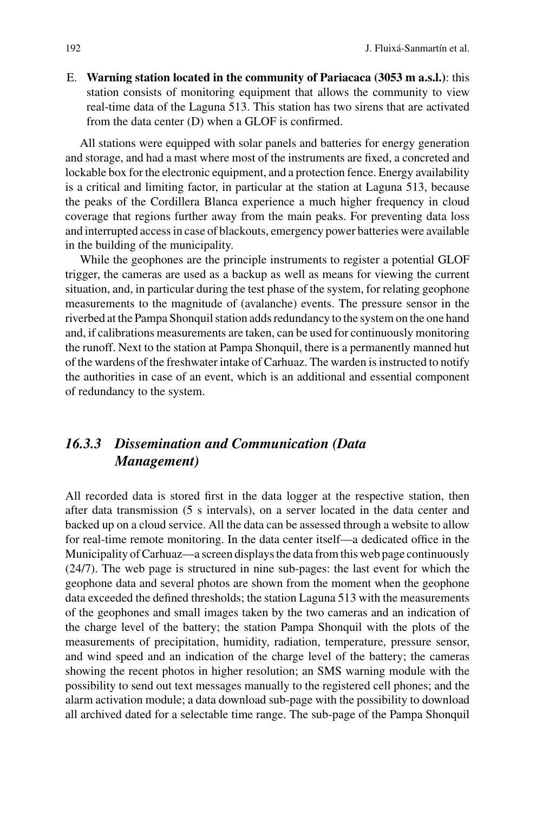E. **Warning station located in the community of Pariacaca (3053 m a.s.l.)**: this station consists of monitoring equipment that allows the community to view real-time data of the Laguna 513. This station has two sirens that are activated from the data center (D) when a GLOF is confirmed.

All stations were equipped with solar panels and batteries for energy generation and storage, and had a mast where most of the instruments are fixed, a concreted and lockable box for the electronic equipment, and a protection fence. Energy availability is a critical and limiting factor, in particular at the station at Laguna 513, because the peaks of the Cordillera Blanca experience a much higher frequency in cloud coverage that regions further away from the main peaks. For preventing data loss and interrupted access in case of blackouts, emergency power batteries were available in the building of the municipality.

While the geophones are the principle instruments to register a potential GLOF trigger, the cameras are used as a backup as well as means for viewing the current situation, and, in particular during the test phase of the system, for relating geophone measurements to the magnitude of (avalanche) events. The pressure sensor in the riverbed at the Pampa Shonquil station adds redundancy to the system on the one hand and, if calibrations measurements are taken, can be used for continuously monitoring the runoff. Next to the station at Pampa Shonquil, there is a permanently manned hut of the wardens of the freshwater intake of Carhuaz. The warden is instructed to notify the authorities in case of an event, which is an additional and essential component of redundancy to the system.

## *16.3.3 Dissemination and Communication (Data Management)*

All recorded data is stored first in the data logger at the respective station, then after data transmission (5 s intervals), on a server located in the data center and backed up on a cloud service. All the data can be assessed through a website to allow for real-time remote monitoring. In the data center itself—a dedicated office in the Municipality of Carhuaz—a screen displays the data from this web page continuously (24/7). The web page is structured in nine sub-pages: the last event for which the geophone data and several photos are shown from the moment when the geophone data exceeded the defined thresholds; the station Laguna 513 with the measurements of the geophones and small images taken by the two cameras and an indication of the charge level of the battery; the station Pampa Shonquil with the plots of the measurements of precipitation, humidity, radiation, temperature, pressure sensor, and wind speed and an indication of the charge level of the battery; the cameras showing the recent photos in higher resolution; an SMS warning module with the possibility to send out text messages manually to the registered cell phones; and the alarm activation module; a data download sub-page with the possibility to download all archived dated for a selectable time range. The sub-page of the Pampa Shonquil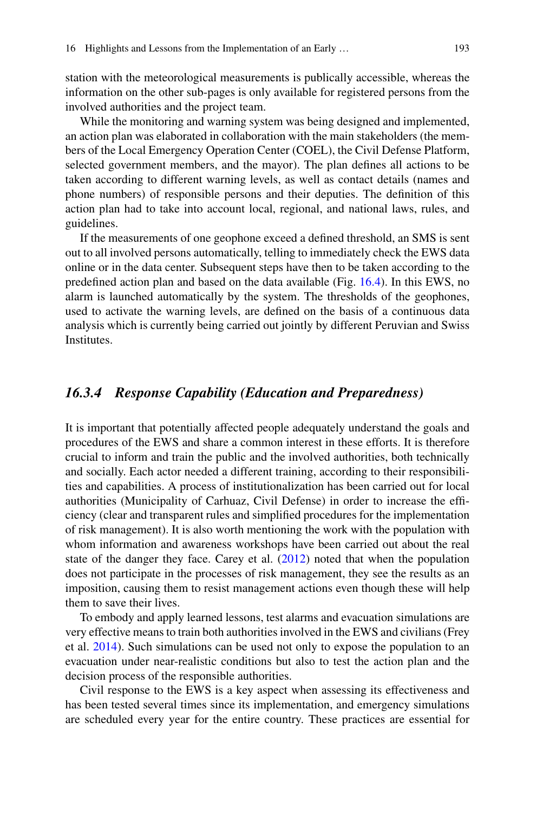station with the meteorological measurements is publically accessible, whereas the information on the other sub-pages is only available for registered persons from the involved authorities and the project team.

While the monitoring and warning system was being designed and implemented, an action plan was elaborated in collaboration with the main stakeholders (the members of the Local Emergency Operation Center (COEL), the Civil Defense Platform, selected government members, and the mayor). The plan defines all actions to be taken according to different warning levels, as well as contact details (names and phone numbers) of responsible persons and their deputies. The definition of this action plan had to take into account local, regional, and national laws, rules, and guidelines.

If the measurements of one geophone exceed a defined threshold, an SMS is sent out to all involved persons automatically, telling to immediately check the EWS data online or in the data center. Subsequent steps have then to be taken according to the predefined action plan and based on the data available (Fig. [16.4\)](#page-7-0). In this EWS, no alarm is launched automatically by the system. The thresholds of the geophones, used to activate the warning levels, are defined on the basis of a continuous data analysis which is currently being carried out jointly by different Peruvian and Swiss **Institutes** 

#### *16.3.4 Response Capability (Education and Preparedness)*

It is important that potentially affected people adequately understand the goals and procedures of the EWS and share a common interest in these efforts. It is therefore crucial to inform and train the public and the involved authorities, both technically and socially. Each actor needed a different training, according to their responsibilities and capabilities. A process of institutionalization has been carried out for local authorities (Municipality of Carhuaz, Civil Defense) in order to increase the efficiency (clear and transparent rules and simplified procedures for the implementation of risk management). It is also worth mentioning the work with the population with whom information and awareness workshops have been carried out about the real state of the danger they face. Carey et al. [\(2012\)](#page-11-1) noted that when the population does not participate in the processes of risk management, they see the results as an imposition, causing them to resist management actions even though these will help them to save their lives.

To embody and apply learned lessons, test alarms and evacuation simulations are very effective means to train both authorities involved in the EWS and civilians (Frey et al. [2014\)](#page-12-3). Such simulations can be used not only to expose the population to an evacuation under near-realistic conditions but also to test the action plan and the decision process of the responsible authorities.

Civil response to the EWS is a key aspect when assessing its effectiveness and has been tested several times since its implementation, and emergency simulations are scheduled every year for the entire country. These practices are essential for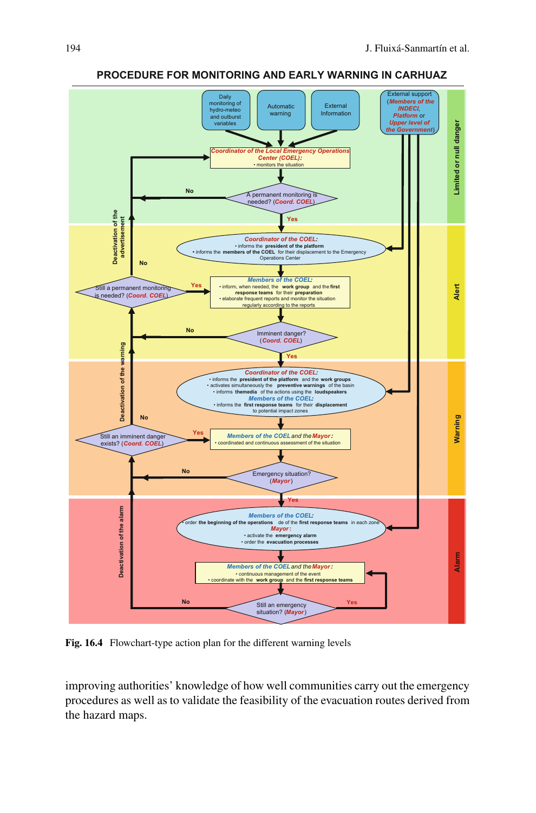

**PROCEDURE FOR MONITORING AND EARLY WARNING IN CARHUAZ**

<span id="page-7-0"></span>**Fig. 16.4** Flowchart-type action plan for the different warning levels

improving authorities' knowledge of how well communities carry out the emergency procedures as well as to validate the feasibility of the evacuation routes derived from the hazard maps.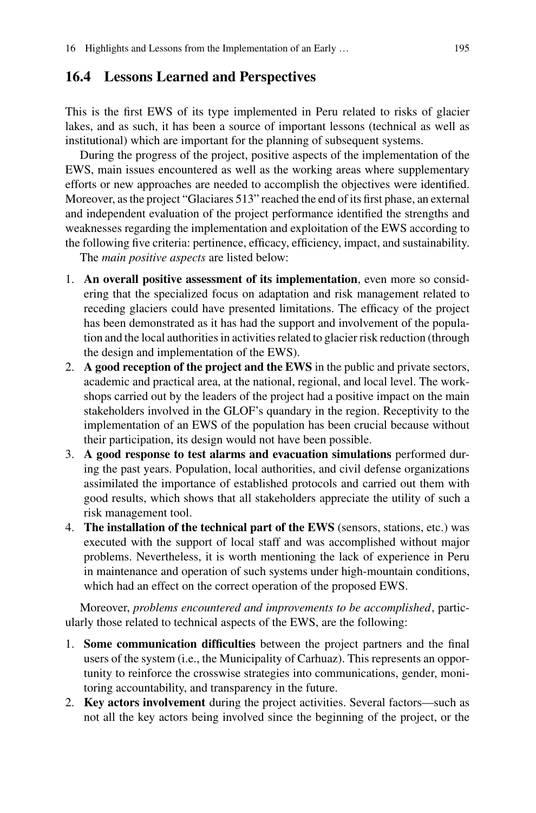## **16.4 Lessons Learned and Perspectives**

This is the first EWS of its type implemented in Peru related to risks of glacier lakes, and as such, it has been a source of important lessons (technical as well as institutional) which are important for the planning of subsequent systems.

During the progress of the project, positive aspects of the implementation of the EWS, main issues encountered as well as the working areas where supplementary efforts or new approaches are needed to accomplish the objectives were identified. Moreover, as the project "Glaciares 513" reached the end of its first phase, an external and independent evaluation of the project performance identified the strengths and weaknesses regarding the implementation and exploitation of the EWS according to the following five criteria: pertinence, efficacy, efficiency, impact, and sustainability.

The *main positive aspects* are listed below:

- 1. **An overall positive assessment of its implementation**, even more so considering that the specialized focus on adaptation and risk management related to receding glaciers could have presented limitations. The efficacy of the project has been demonstrated as it has had the support and involvement of the population and the local authorities in activities related to glacier risk reduction (through the design and implementation of the EWS).
- 2. **A good reception of the project and the EWS** in the public and private sectors, academic and practical area, at the national, regional, and local level. The workshops carried out by the leaders of the project had a positive impact on the main stakeholders involved in the GLOF's quandary in the region. Receptivity to the implementation of an EWS of the population has been crucial because without their participation, its design would not have been possible.
- 3. **A good response to test alarms and evacuation simulations** performed during the past years. Population, local authorities, and civil defense organizations assimilated the importance of established protocols and carried out them with good results, which shows that all stakeholders appreciate the utility of such a risk management tool.
- 4. **The installation of the technical part of the EWS** (sensors, stations, etc.) was executed with the support of local staff and was accomplished without major problems. Nevertheless, it is worth mentioning the lack of experience in Peru in maintenance and operation of such systems under high-mountain conditions, which had an effect on the correct operation of the proposed EWS.

Moreover, *problems encountered and improvements to be accomplished*, particularly those related to technical aspects of the EWS, are the following:

- 1. **Some communication difficulties** between the project partners and the final users of the system (i.e., the Municipality of Carhuaz). This represents an opportunity to reinforce the crosswise strategies into communications, gender, monitoring accountability, and transparency in the future.
- 2. **Key actors involvement** during the project activities. Several factors—such as not all the key actors being involved since the beginning of the project, or the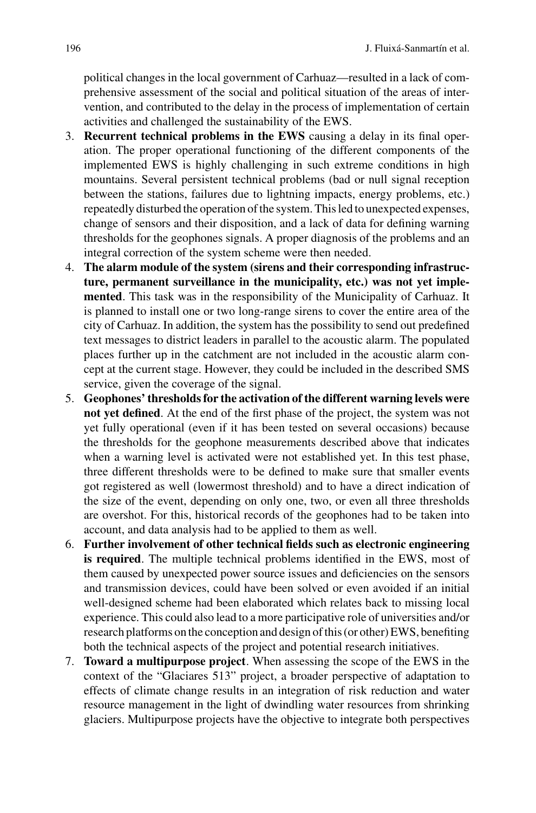political changes in the local government of Carhuaz—resulted in a lack of comprehensive assessment of the social and political situation of the areas of intervention, and contributed to the delay in the process of implementation of certain activities and challenged the sustainability of the EWS.

- 3. **Recurrent technical problems in the EWS** causing a delay in its final operation. The proper operational functioning of the different components of the implemented EWS is highly challenging in such extreme conditions in high mountains. Several persistent technical problems (bad or null signal reception between the stations, failures due to lightning impacts, energy problems, etc.) repeatedly disturbed the operation of the system. This led to unexpected expenses, change of sensors and their disposition, and a lack of data for defining warning thresholds for the geophones signals. A proper diagnosis of the problems and an integral correction of the system scheme were then needed.
- 4. **The alarm module of the system (sirens and their corresponding infrastructure, permanent surveillance in the municipality, etc.) was not yet implemented**. This task was in the responsibility of the Municipality of Carhuaz. It is planned to install one or two long-range sirens to cover the entire area of the city of Carhuaz. In addition, the system has the possibility to send out predefined text messages to district leaders in parallel to the acoustic alarm. The populated places further up in the catchment are not included in the acoustic alarm concept at the current stage. However, they could be included in the described SMS service, given the coverage of the signal.
- 5. **Geophones' thresholds for the activation of the different warning levels were not yet defined**. At the end of the first phase of the project, the system was not yet fully operational (even if it has been tested on several occasions) because the thresholds for the geophone measurements described above that indicates when a warning level is activated were not established yet. In this test phase, three different thresholds were to be defined to make sure that smaller events got registered as well (lowermost threshold) and to have a direct indication of the size of the event, depending on only one, two, or even all three thresholds are overshot. For this, historical records of the geophones had to be taken into account, and data analysis had to be applied to them as well.
- 6. **Further involvement of other technical fields such as electronic engineering is required**. The multiple technical problems identified in the EWS, most of them caused by unexpected power source issues and deficiencies on the sensors and transmission devices, could have been solved or even avoided if an initial well-designed scheme had been elaborated which relates back to missing local experience. This could also lead to a more participative role of universities and/or research platforms on the conception and design of this (or other) EWS, benefiting both the technical aspects of the project and potential research initiatives.
- 7. **Toward a multipurpose project**. When assessing the scope of the EWS in the context of the "Glaciares 513" project, a broader perspective of adaptation to effects of climate change results in an integration of risk reduction and water resource management in the light of dwindling water resources from shrinking glaciers. Multipurpose projects have the objective to integrate both perspectives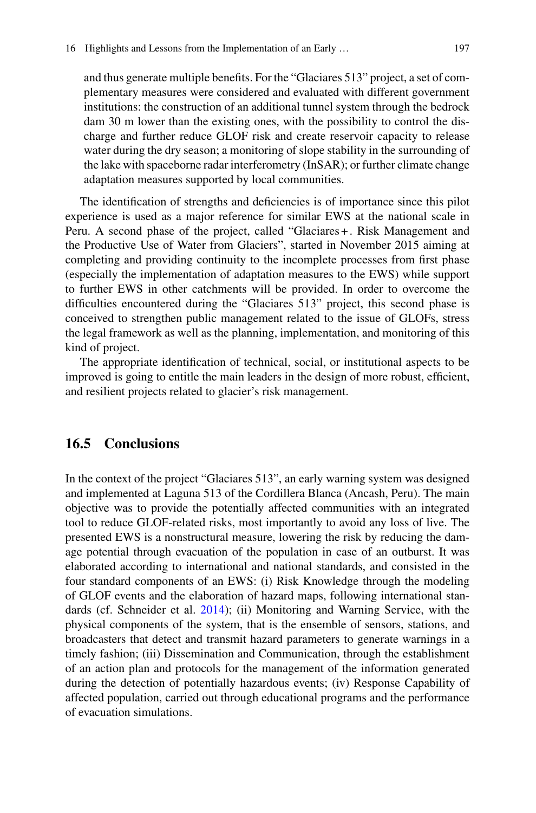and thus generate multiple benefits. For the "Glaciares 513" project, a set of complementary measures were considered and evaluated with different government institutions: the construction of an additional tunnel system through the bedrock dam 30 m lower than the existing ones, with the possibility to control the discharge and further reduce GLOF risk and create reservoir capacity to release water during the dry season; a monitoring of slope stability in the surrounding of the lake with spaceborne radar interferometry (InSAR); or further climate change adaptation measures supported by local communities.

The identification of strengths and deficiencies is of importance since this pilot experience is used as a major reference for similar EWS at the national scale in Peru. A second phase of the project, called "Glaciares + . Risk Management and the Productive Use of Water from Glaciers", started in November 2015 aiming at completing and providing continuity to the incomplete processes from first phase (especially the implementation of adaptation measures to the EWS) while support to further EWS in other catchments will be provided. In order to overcome the difficulties encountered during the "Glaciares 513" project, this second phase is conceived to strengthen public management related to the issue of GLOFs, stress the legal framework as well as the planning, implementation, and monitoring of this kind of project.

The appropriate identification of technical, social, or institutional aspects to be improved is going to entitle the main leaders in the design of more robust, efficient, and resilient projects related to glacier's risk management.

## **16.5 Conclusions**

In the context of the project "Glaciares 513", an early warning system was designed and implemented at Laguna 513 of the Cordillera Blanca (Ancash, Peru). The main objective was to provide the potentially affected communities with an integrated tool to reduce GLOF-related risks, most importantly to avoid any loss of live. The presented EWS is a nonstructural measure, lowering the risk by reducing the damage potential through evacuation of the population in case of an outburst. It was elaborated according to international and national standards, and consisted in the four standard components of an EWS: (i) Risk Knowledge through the modeling of GLOF events and the elaboration of hazard maps, following international standards (cf. Schneider et al. [2014\)](#page-12-4); (ii) Monitoring and Warning Service, with the physical components of the system, that is the ensemble of sensors, stations, and broadcasters that detect and transmit hazard parameters to generate warnings in a timely fashion; (iii) Dissemination and Communication, through the establishment of an action plan and protocols for the management of the information generated during the detection of potentially hazardous events; (iv) Response Capability of affected population, carried out through educational programs and the performance of evacuation simulations.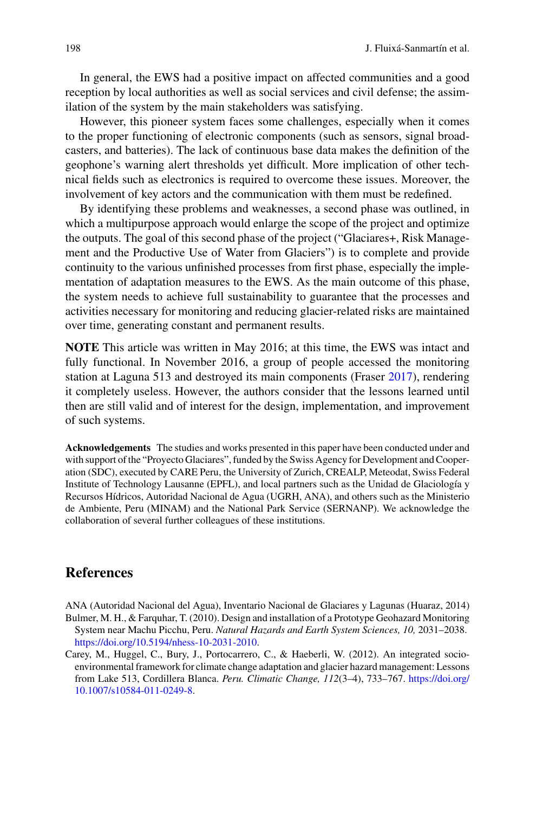In general, the EWS had a positive impact on affected communities and a good reception by local authorities as well as social services and civil defense; the assimilation of the system by the main stakeholders was satisfying.

However, this pioneer system faces some challenges, especially when it comes to the proper functioning of electronic components (such as sensors, signal broadcasters, and batteries). The lack of continuous base data makes the definition of the geophone's warning alert thresholds yet difficult. More implication of other technical fields such as electronics is required to overcome these issues. Moreover, the involvement of key actors and the communication with them must be redefined.

By identifying these problems and weaknesses, a second phase was outlined, in which a multipurpose approach would enlarge the scope of the project and optimize the outputs. The goal of this second phase of the project ("Glaciares+, Risk Management and the Productive Use of Water from Glaciers") is to complete and provide continuity to the various unfinished processes from first phase, especially the implementation of adaptation measures to the EWS. As the main outcome of this phase, the system needs to achieve full sustainability to guarantee that the processes and activities necessary for monitoring and reducing glacier-related risks are maintained over time, generating constant and permanent results.

**NOTE** This article was written in May 2016; at this time, the EWS was intact and fully functional. In November 2016, a group of people accessed the monitoring station at Laguna 513 and destroyed its main components (Fraser [2017\)](#page-12-11), rendering it completely useless. However, the authors consider that the lessons learned until then are still valid and of interest for the design, implementation, and improvement of such systems.

**Acknowledgements** The studies and works presented in this paper have been conducted under and with support of the "Proyecto Glaciares", funded by the Swiss Agency for Development and Cooperation (SDC), executed by CARE Peru, the University of Zurich, CREALP, Meteodat, Swiss Federal Institute of Technology Lausanne (EPFL), and local partners such as the Unidad de Glaciología y Recursos Hídricos, Autoridad Nacional de Agua (UGRH, ANA), and others such as the Ministerio de Ambiente, Peru (MINAM) and the National Park Service (SERNANP). We acknowledge the collaboration of several further colleagues of these institutions.

#### **References**

- <span id="page-11-2"></span><span id="page-11-0"></span>ANA (Autoridad Nacional del Agua), Inventario Nacional de Glaciares y Lagunas (Huaraz, 2014) Bulmer, M. H., & Farquhar, T. (2010). Design and installation of a Prototype Geohazard Monitoring System near Machu Picchu, Peru. *Natural Hazards and Earth System Sciences, 10,* 2031–2038. [https://doi.org/10.5194/nhess-10-2031-2010.](https://doi.org/10.5194/nhess-10-2031-2010)
- <span id="page-11-1"></span>Carey, M., Huggel, C., Bury, J., Portocarrero, C., & Haeberli, W. (2012). An integrated socioenvironmental framework for climate change adaptation and glacier hazard management: Lessons [from Lake 513, Cordillera Blanca.](https://doi.org/10.1007/s10584-011-0249-8) *Peru. Climatic Change, 112*(3–4), 733–767. https://doi.org/ 10.1007/s10584-011-0249-8.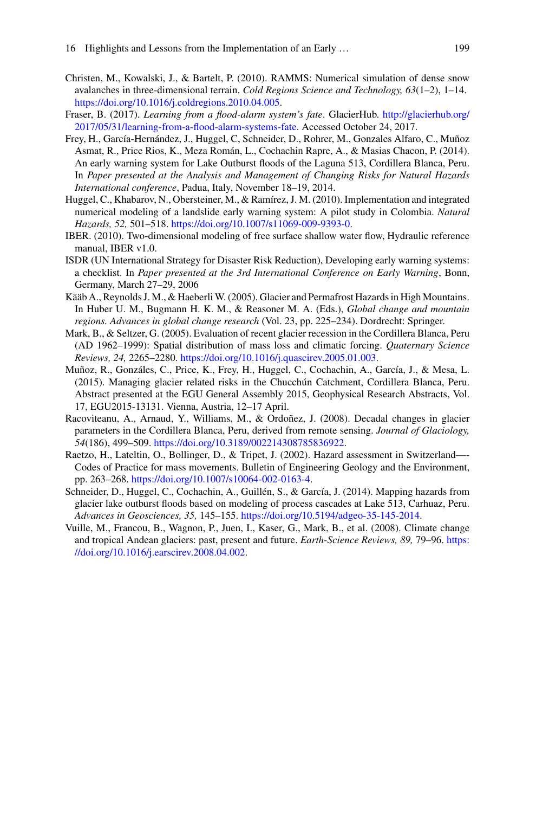- <span id="page-12-9"></span>Christen, M., Kowalski, J., & Bartelt, P. (2010). RAMMS: Numerical simulation of dense snow avalanches in three-dimensional terrain. *Cold Regions Science and Technology, 63*(1–2), 1–14. [https://doi.org/10.1016/j.coldregions.2010.04.005.](https://doi.org/10.1016/j.coldregions.2010.04.005)
- <span id="page-12-11"></span>Fraser, B. (2017). *Learning from a flood-alarm system's fate*. GlacierHub. http://glacierhub.org/ [2017/05/31/learning-from-a-flood-alarm-systems-fate. Accessed October 24, 2017.](http://glacierhub.org/2017/05/31/learning-from-a-flood-alarm-systems-fate)
- <span id="page-12-3"></span>Frey, H., García-Hernández, J., Huggel, C, Schneider, D., Rohrer, M., Gonzales Alfaro, C., Muñoz Asmat, R., Price Rios, K., Meza Román, L., Cochachin Rapre, A., & Masias Chacon, P. (2014). An early warning system for Lake Outburst floods of the Laguna 513, Cordillera Blanca, Peru. In *Paper presented at the Analysis and Management of Changing Risks for Natural Hazards International conference*, Padua, Italy, November 18–19, 2014.
- <span id="page-12-1"></span>Huggel, C., Khabarov, N., Obersteiner, M., & Ramírez, J. M. (2010). Implementation and integrated numerical modeling of a landslide early warning system: A pilot study in Colombia. *Natural Hazards, 52,* 501–518. [https://doi.org/10.1007/s11069-009-9393-0.](https://doi.org/10.1007/s11069-009-9393-0)
- IBER. (2010). Two-dimensional modeling of free surface shallow water flow, Hydraulic reference manual, IBER v1.0.
- <span id="page-12-2"></span>ISDR (UN International Strategy for Disaster Risk Reduction), Developing early warning systems: a checklist. In *Paper presented at the 3rd International Conference on Early Warning*, Bonn, Germany, March 27–29, 2006
- <span id="page-12-0"></span>Kääb A., Reynolds J. M., & Haeberli W. (2005). Glacier and Permafrost Hazards in High Mountains. In Huber U. M., Bugmann H. K. M., & Reasoner M. A. (Eds.), *Global change and mountain regions. Advances in global change research* (Vol. 23, pp. 225–234). Dordrecht: Springer.
- <span id="page-12-6"></span>Mark, B., & Seltzer, G. (2005). Evaluation of recent glacier recession in the Cordillera Blanca, Peru (AD 1962–1999): Spatial distribution of mass loss and climatic forcing. *Quaternary Science Reviews, 24,* 2265–2280. [https://doi.org/10.1016/j.quascirev.2005.01.003.](https://doi.org/10.1016/j.quascirev.2005.01.003)
- <span id="page-12-8"></span>Muñoz, R., Gonzáles, C., Price, K., Frey, H., Huggel, C., Cochachin, A., García, J., & Mesa, L. (2015). Managing glacier related risks in the Chucchún Catchment, Cordillera Blanca, Peru. Abstract presented at the EGU General Assembly 2015, Geophysical Research Abstracts, Vol. 17, EGU2015-13131. Vienna, Austria, 12–17 April.
- <span id="page-12-5"></span>Racoviteanu, A., Arnaud, Y., Williams, M., & Ordoñez, J. (2008). Decadal changes in glacier parameters in the Cordillera Blanca, Peru, derived from remote sensing. *Journal of Glaciology, 54*(186), 499–509. [https://doi.org/10.3189/002214308785836922.](https://doi.org/10.3189/002214308785836922)
- <span id="page-12-10"></span>Raetzo, H., Lateltin, O., Bollinger, D., & Tripet, J. (2002). Hazard assessment in Switzerland—- Codes of Practice for mass movements. Bulletin of Engineering Geology and the Environment, pp. 263–268. [https://doi.org/10.1007/s10064-002-0163-4.](https://doi.org/10.1007/s10064-002-0163-4)
- <span id="page-12-4"></span>Schneider, D., Huggel, C., Cochachin, A., Guillén, S., & García, J. (2014). Mapping hazards from glacier lake outburst floods based on modeling of process cascades at Lake 513, Carhuaz, Peru. *Advances in Geosciences, 35,* 145–155. [https://doi.org/10.5194/adgeo-35-145-2014.](https://doi.org/10.5194/adgeo-35-145-2014)
- <span id="page-12-7"></span>Vuille, M., Francou, B., Wagnon, P., Juen, I., Kaser, G., Mark, B., et al. (2008). Climate change [and tropical Andean glaciers: past, present and future.](https://doi.org/10.1016/j.earscirev.2008.04.002) *Earth-Science Reviews, 89,* 79–96. https: //doi.org/10.1016/j.earscirev.2008.04.002.